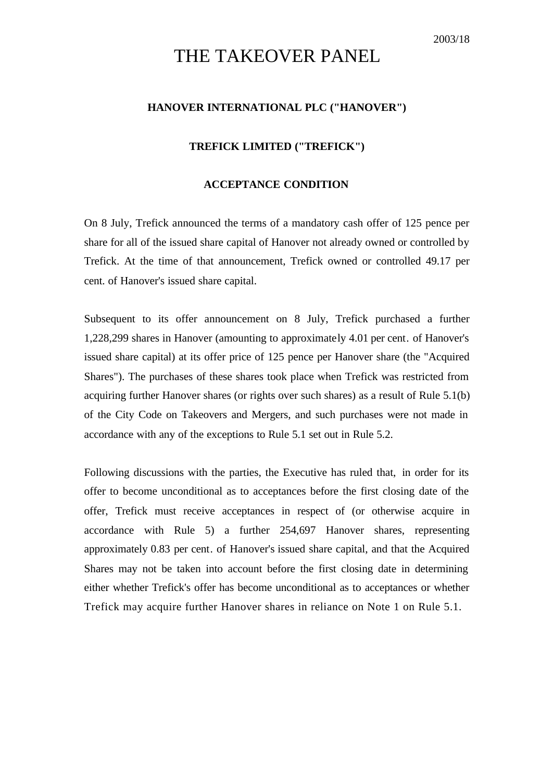## THE TAKEOVER PANEL

## **HANOVER INTERNATIONAL PLC ("HANOVER")**

## **TREFICK LIMITED ("TREFICK")**

## **ACCEPTANCE CONDITION**

On 8 July, Trefick announced the terms of a mandatory cash offer of 125 pence per share for all of the issued share capital of Hanover not already owned or controlled by Trefick. At the time of that announcement, Trefick owned or controlled 49.17 per cent. of Hanover's issued share capital.

Subsequent to its offer announcement on 8 July, Trefick purchased a further 1,228,299 shares in Hanover (amounting to approximately 4.01 per cent. of Hanover's issued share capital) at its offer price of 125 pence per Hanover share (the "Acquired Shares"). The purchases of these shares took place when Trefick was restricted from acquiring further Hanover shares (or rights over such shares) as a result of Rule 5.1(b) of the City Code on Takeovers and Mergers, and such purchases were not made in accordance with any of the exceptions to Rule 5.1 set out in Rule 5.2.

Following discussions with the parties, the Executive has ruled that, in order for its offer to become unconditional as to acceptances before the first closing date of the offer, Trefick must receive acceptances in respect of (or otherwise acquire in accordance with Rule 5) a further 254,697 Hanover shares, representing approximately 0.83 per cent. of Hanover's issued share capital, and that the Acquired Shares may not be taken into account before the first closing date in determining either whether Trefick's offer has become unconditional as to acceptances or whether Trefick may acquire further Hanover shares in reliance on Note 1 on Rule 5.1.